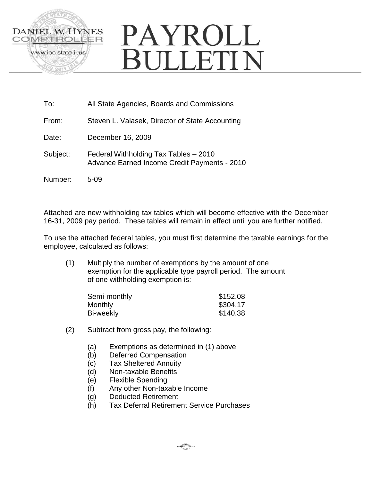

# PAYROLL **BULLETIN**

- To: All State Agencies, Boards and Commissions
- From: Steven L. Valasek, Director of State Accounting
- Date: December 16, 2009
- Subject: Federal Withholding Tax Tables 2010 Advance Earned Income Credit Payments - 2010
- Number: 5-09

Attached are new withholding tax tables which will become effective with the December 16-31, 2009 pay period. These tables will remain in effect until you are further notified.

To use the attached federal tables, you must first determine the taxable earnings for the employee, calculated as follows:

(1) Multiply the number of exemptions by the amount of one exemption for the applicable type payroll period. The amount of one withholding exemption is:

| Semi-monthly | \$152.08 |
|--------------|----------|
| Monthly      | \$304.17 |
| Bi-weekly    | \$140.38 |

- (2) Subtract from gross pay, the following:
	- (a) Exemptions as determined in (1) above
	- (b) Deferred Compensation
	- (c) Tax Sheltered Annuity
	- (d) Non-taxable Benefits
	- (e) Flexible Spending
	- (f) Any other Non-taxable Income
	- (g) Deducted Retirement
	- (h) Tax Deferral Retirement Service Purchases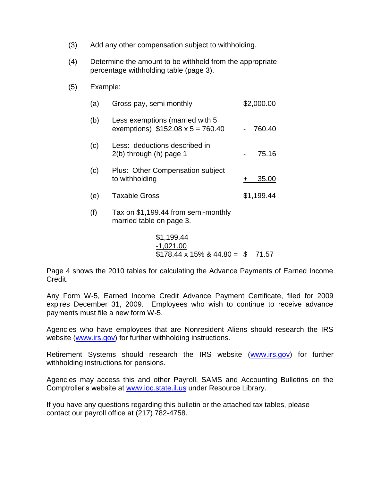- (3) Add any other compensation subject to withholding.
- (4) Determine the amount to be withheld from the appropriate percentage withholding table (page 3).
- (5) Example:

| (a) | Gross pay, semi monthly                                                    | \$2,000.00 |  |  |
|-----|----------------------------------------------------------------------------|------------|--|--|
| (b) | Less exemptions (married with 5<br>exemptions) $$152.08 \times 5 = 760.40$ | 760.40     |  |  |
| (c) | Less: deductions described in<br>$2(b)$ through $(h)$ page 1               | 75.16      |  |  |
| (c) | Plus: Other Compensation subject<br>to withholding                         | 35.00      |  |  |
| (e) | <b>Taxable Gross</b>                                                       | \$1,199.44 |  |  |
| (f) | Tax on \$1,199.44 from semi-monthly                                        |            |  |  |

married table on page 3.

$$
$1,199.44
$$
  

$$
-1,021.00
$$
  

$$
$178.44 \times 15\% \& 44.80 = $71.57
$$

Page 4 shows the 2010 tables for calculating the Advance Payments of Earned Income Credit.

Any Form W-5, Earned Income Credit Advance Payment Certificate, filed for 2009 expires December 31, 2009. Employees who wish to continue to receive advance payments must file a new form W-5.

Agencies who have employees that are Nonresident Aliens should research the IRS website [\(www.irs.gov\)](http://www.irs.gov/) for further withholding instructions.

Retirement Systems should research the IRS website [\(www.irs.gov\)](http://www.irs.gov/) for further withholding instructions for pensions.

Agencies may access this and other Payroll, SAMS and Accounting Bulletins on the Comptroller's website at [www.ioc.state.il.us](http://www.ioc.state.il.us/) under Resource Library.

If you have any questions regarding this bulletin or the attached tax tables, please contact our payroll office at (217) 782-4758.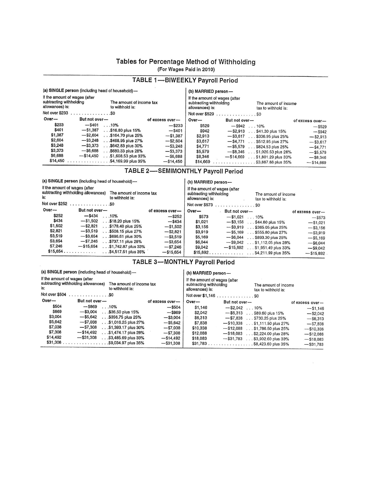#### Tables for Percentage Method of Withholding (For Wages Paid in 2010)

|                                                                                                                            | (a) SINGLE person (including head of household)-    |                 | (b) MARRIED person-                                                                                                        |                        |                                 |                 |
|----------------------------------------------------------------------------------------------------------------------------|-----------------------------------------------------|-----------------|----------------------------------------------------------------------------------------------------------------------------|------------------------|---------------------------------|-----------------|
| If the amount of wages (after<br>subtracting withholding<br>The amount of income tax<br>allowances) is:<br>to withhold is: |                                                     |                 | If the amount of wages (after<br>subtracting withholding<br>The amount of income<br>allowances) is:<br>tax to withhold is: |                        |                                 |                 |
| Not over \$233                                                                                                             |                                                     |                 |                                                                                                                            | Not over \$529 \$0     |                                 |                 |
| Over-                                                                                                                      | But not over-                                       | of excess over- | Over-                                                                                                                      | But not over-          |                                 | of excess over- |
| \$233                                                                                                                      | $-$ \$401<br>.10%                                   | $-$ \$233       | \$529                                                                                                                      | $-$ \$942 10%          |                                 | $-$ \$529       |
| \$401                                                                                                                      | $-$ \$1,387<br>$\ldots$ \$16.80 plus 15%            | $-$ \$401       | \$942                                                                                                                      |                        | $-$ \$2,913 \$41.30 plus 15%    | $-$ S942        |
| \$1,387                                                                                                                    | $-$ \$2,604<br>\$164.70 plus 25%                    | $-$ \$1,387     | \$2.913                                                                                                                    |                        | $-$ \$3.617 \$336.95 plus 25%   | $-$ \$2,913     |
| \$2,604                                                                                                                    | $-$ \$3,248<br>\$468.95 plus 27%                    | $-$ \$2,604     | \$3,617                                                                                                                    |                        | $-$ \$4,771 \$512.95 plus 27%   | $-$ \$3.617     |
| \$3,248                                                                                                                    | $-$ \$3,373<br>$\ldots$ \$642.83 plus 30%           | $-$ \$3,248     | \$4,771                                                                                                                    |                        | $-$ \$5,579 \$824.53 plus 25%   | $-$ \$4.771     |
| \$3,373                                                                                                                    | $-$ \$6.688<br>$\ldots$ \$680,33 plus 28%           | $-$ \$3,373     | \$5,579                                                                                                                    |                        | $-$ \$8,346 \$1,026.53 plus 28% | $-$ \$5.579     |
| \$6,688                                                                                                                    | $-$ \$14,450<br>$\ldots$ \$1,608.53 plus 33%        | $-$ \$6,688     | \$8,346                                                                                                                    | $-$ \$14,669           | $\ldots$ \$1,801.29 plus 33%    | $-$ \$8,346     |
| \$14,450                                                                                                                   | $\ldots \ldots \ldots \ldots$ . \$4,169.99 plus 35% | $-$ \$14,450    | \$14,669                                                                                                                   | $$ \$3,887.88 plus 35% |                                 | $-$ \$14.669    |

#### TABLE 1-BIWEEKLY Payroll Period

#### TABLE 2-SEMIMONTHLY Payroll Period

|                                                                                                                            | (a) SINGLE person (including head of household)- |                            |                 | (b) MARRIED person-                                                                                                        |               |                               |                 |
|----------------------------------------------------------------------------------------------------------------------------|--------------------------------------------------|----------------------------|-----------------|----------------------------------------------------------------------------------------------------------------------------|---------------|-------------------------------|-----------------|
| If the amount of wages (after<br>subtracting withholding allowances)<br>The amount of income tax<br>is:<br>to withhold is: |                                                  |                            |                 | If the amount of wages (after<br>subtracting withholding<br>The amount of income<br>allowances) is:<br>tax to withhold is: |               |                               |                 |
|                                                                                                                            | Not over \$252 \$0                               |                            |                 | Not over \$573                                                                                                             | . \$0         |                               |                 |
| $Over-$                                                                                                                    | But not over-                                    |                            | of excess over- | Over-                                                                                                                      | But not over- |                               | of excess over- |
| \$252                                                                                                                      | $-$ \$434                                        | .10%                       | $-$ \$252       | \$573                                                                                                                      | $- $1.021$    | $\ldots$ 10%                  | $-$ \$573       |
| \$434                                                                                                                      | $-$ \$1.502                                      | .\$18.20 plus 15%          | $-$ \$434       | \$1,021                                                                                                                    |               | $-$ \$3,156 \$44.80 plus 15%  | $- $1.021$      |
| \$1,502                                                                                                                    | $-$ \$2,821                                      | \$178.40 plus 25%          | $-$ \$1.502     | \$3,156                                                                                                                    |               | $-$ \$3,919 \$365.05 plus 25% | $-$ \$3,156     |
| \$2,821                                                                                                                    | $-$ \$3.519                                      | $\ldots$ \$508.15 plus 27% | $-$ \$2,821     | \$3,919                                                                                                                    | $- $5.169$    | $\ldots$ \$555.80 plus 27%    | $-$ \$3,919     |
| \$3,519                                                                                                                    | $-$ \$3,654                                      | \$696.61 plus 30%          | $-$ \$3,519     | \$5,169                                                                                                                    | $-$ \$6,044   | \$893.30 plus 25%             | $-$ \$5,169     |
| \$3,654                                                                                                                    | $-$ \$7,246                                      | \$737.11 plus 28%          | $-$ \$3,654     | \$6,044                                                                                                                    | $-$ \$9.042   | $\ldots$ \$1,112.05 plus 28%  | $-$ \$6,044     |
| \$7,246                                                                                                                    | $- $15,654$                                      | $.$ \$1,742.87 plus 33%    | $-$ \$7,246     | \$9,042                                                                                                                    | $-$ \$15,892  | $\ldots$ \$1,951.49 plus 33%  | $-$ \$9,042     |
| \$15.654                                                                                                                   |                                                  | .\$4,517.51 plus 35%       | $-$ \$15,654    |                                                                                                                            |               |                               | $- $15.892$     |

#### **TABLE 3-MONTHLY Payroll Period**

(a) SINGLE person (including head of household)-

(b) MARRIED person-If the amount of wages (after

| If the amount of wages (after<br>subtracting withholding allowances)<br>The amount of income tax<br>is:<br>to withhold is: |                                       |                 | If the amount of wages (after<br>subtracting withholding<br>The amount of income<br>allowances) is:<br>tax to withhold is: |                                                        |                 |  |
|----------------------------------------------------------------------------------------------------------------------------|---------------------------------------|-----------------|----------------------------------------------------------------------------------------------------------------------------|--------------------------------------------------------|-----------------|--|
| Not over \$504<br>. 30                                                                                                     |                                       |                 |                                                                                                                            | Not over \$1,146 \$0                                   |                 |  |
| Over-                                                                                                                      | But not over-                         | of excess over- | $Over-$                                                                                                                    | But not over-                                          | of excess over- |  |
| \$504                                                                                                                      | $-$ \$869<br>.10%                     | $-$ \$504       | \$1,146                                                                                                                    | $-$ \$2.042<br>$\ldots$ 10%                            | $- $1,146$      |  |
| \$869                                                                                                                      | $-$ \$3,004<br>\$36.50 plus 15%       | $-$ \$869       | \$2.042                                                                                                                    | $-$ \$6.313<br>.\$89.60 plus 15%                       | $-$ \$2.042     |  |
| \$3,004                                                                                                                    | $-$ \$5,642<br>.\$356.75 plus 25%     | $-$ \$3,004     | \$6,313                                                                                                                    | $- $7.838$<br>$\ldots$ \$730.25 plus 25%               | $-$ \$6,313     |  |
| \$5,642                                                                                                                    | $- $7,038$<br>\$1,016.25 plus 27%     | $-$ \$5,642     | \$7,838                                                                                                                    | $-$ \$10,338<br>. \$1,111.50 plus 27%                  | $-$ \$7,838     |  |
| \$7,038                                                                                                                    | $-$ \$7,308<br>. .\$1,393.17 plus 30% | $-$ \$7,038     | \$10,338                                                                                                                   | $-$ \$12.088<br>\$1,786.50 plus 25%                    | $-$ \$10.338    |  |
| \$7,308                                                                                                                    | $-$ \$14,492<br>\$1,474.17 plus 28%   | $-$ \$7,308     | \$12,088                                                                                                                   | $-$ \$18,083<br>. \$2,224,00 plus 28%                  | $-$ \$12,088    |  |
| \$14,492                                                                                                                   | $-$ \$31,308<br>.\$3,485.69 plus 33%  | $-$ \$14,492    | \$18,083                                                                                                                   | $-$ \$31,783<br>.\$3,902.60 plus 33%                   | $- $18,083$     |  |
| \$31,308                                                                                                                   | .\$9,034.97 plus 35%<br>.             | $-$ \$31,308    | \$31,783                                                                                                                   | . \$8,423,60 plus 35%<br>and a strategic and strategic | $-$ \$31.783    |  |